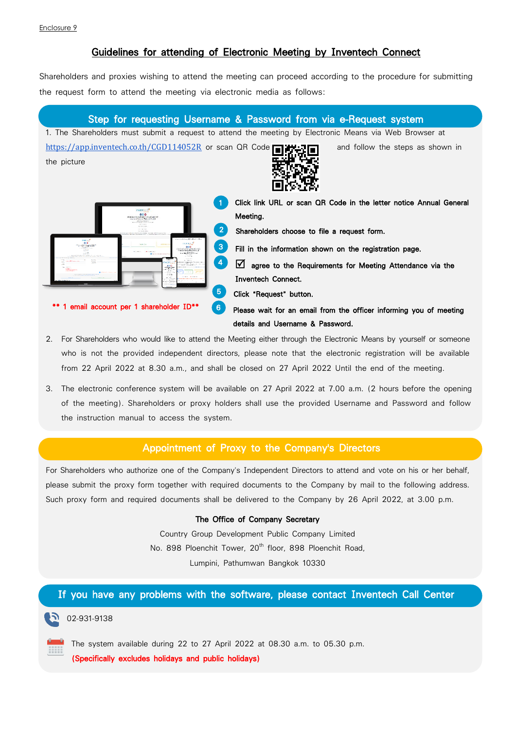# Guidelines for attending of Electronic Meeting by Inventech Connect

Shareholders and proxies wishing to attend the meeting can proceed according to the procedure for submitting the request form to attend the meeting via electronic media as follows:

### Step for requesting Username & Password from via e-Request system

1. The Shareholders must submit a request to attend the meeting by Electronic Means via Web Browser at <https://app.inventech.co.th/CGD114052R> or scan QR Code  $\Box$  $\Box$ the picture



1 Click link URL or scan QR Code in the letter notice Annual General Meeting. 2 Shareholders choose to file a request form. **3** Fill in the information shown on the registration page.

4  $\Box$  agree to the Requirements for Meeting Attendance via the Inventech Connect.

5 Click "Request" button.

6 Please wait for an email from the officer informing you of meeting details and Username & Password.

2. For Shareholders who would like to attend the Meeting either through the Electronic Means by yourself or someone who is not the provided independent directors, please note that the electronic registration will be available from 22 April 2022 at 8.30 a.m., and shall be closed on 27 April 2022 Until the end of the meeting.

.

3. The electronic conference system will be available on 27 April 2022 at 7.00 a.m. (2 hours before the opening of the meeting). Shareholders or proxy holders shall use the provided Username and Password and follow the instruction manual to access the system.

### Appointment of Proxy to the Company's Directors

For Shareholders who authorize one of the Company's Independent Directors to attend and vote on his or her behalf, please submit the proxy form together with required documents to the Company by mail to the following address. Such proxy form and required documents shall be delivered to the Company by 26 April 2022, at 3.00 p.m.

#### The Office of Company Secretary

Country Group Development Public Company Limited No. 898 Ploenchit Tower, 20<sup>th</sup> floor, 898 Ploenchit Road, Lumpini, Pathumwan Bangkok 10330

## If you have any problems with the software, please contact Inventech Call Center

 $02-931-9138$ 

The system available during 22 to 27 April 2022 at 08.30 a.m. to 05.30 p.m.

(Specifically excludes holidays and public holidays)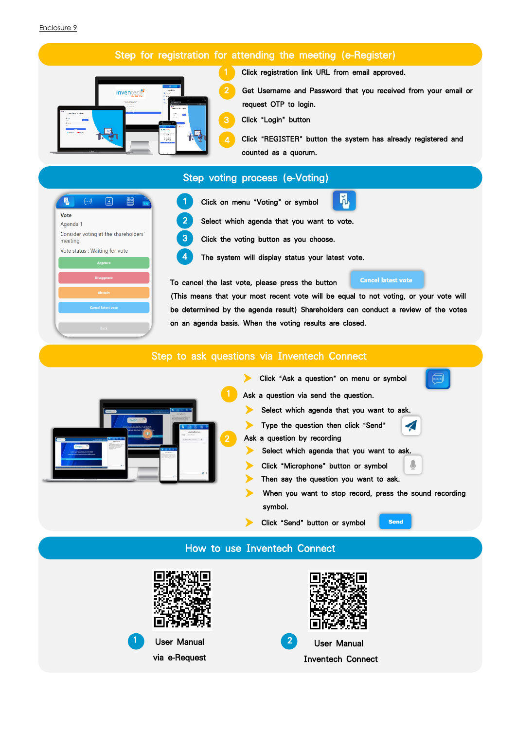# Step for registration for attending the meeting (e-Register)



Click registration link URL from email approved.

Get Username and Password that you received from your email or request OTP to login.

Click "Login" button

4 Click "REGISTER" button the system has already registered and counted as a quorum.

ň



# Step voting process (e-Voting)



3 Click the voting button as you choose.

4 The system will display status your latest vote.

To cancel the last vote, please press the button

**Cancel latest vote** 

(This means that your most recent vote will be equal to not voting, or your vote will be determined by the agenda result) Shareholders can conduct a review of the votes on an agenda basis. When the voting results are closed.

# Step to ask questions via Inventech Connect



Click "Ask a question" on menu or symbol Ask a question via send the question. Select which agenda that you want to ask. Type the question then click "Send" Ask a question by recording Select which agenda that you want to ask. Click "Microphone" button or symbol Then say the question you want to ask. When you want to stop record, press the sound recording symbol. Click "Send" button or symbol **Send** 

## How to use Inventech Connect

Ī